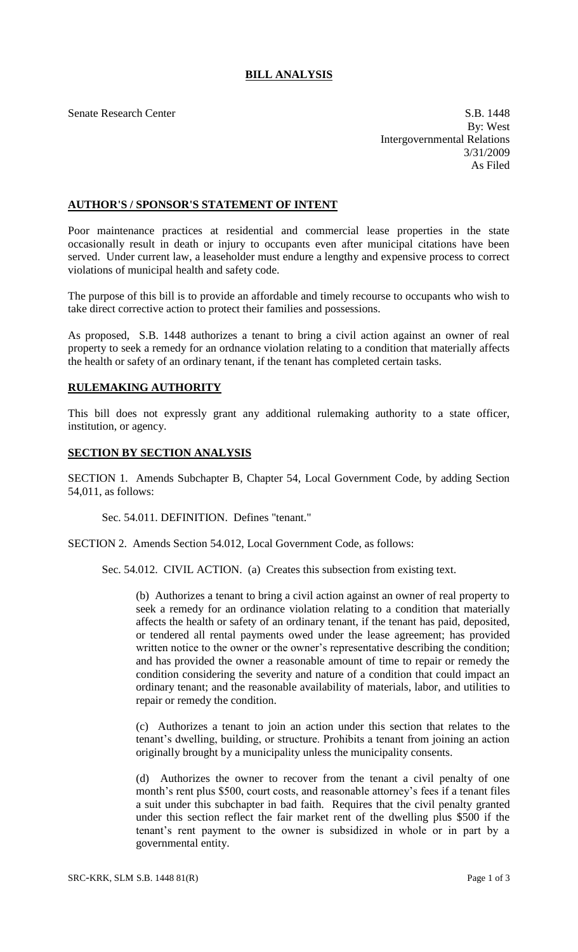## **BILL ANALYSIS**

Senate Research Center S.B. 1448 By: West Intergovernmental Relations 3/31/2009 As Filed

## **AUTHOR'S / SPONSOR'S STATEMENT OF INTENT**

Poor maintenance practices at residential and commercial lease properties in the state occasionally result in death or injury to occupants even after municipal citations have been served. Under current law, a leaseholder must endure a lengthy and expensive process to correct violations of municipal health and safety code.

The purpose of this bill is to provide an affordable and timely recourse to occupants who wish to take direct corrective action to protect their families and possessions.

As proposed, S.B. 1448 authorizes a tenant to bring a civil action against an owner of real property to seek a remedy for an ordnance violation relating to a condition that materially affects the health or safety of an ordinary tenant, if the tenant has completed certain tasks.

## **RULEMAKING AUTHORITY**

This bill does not expressly grant any additional rulemaking authority to a state officer, institution, or agency.

## **SECTION BY SECTION ANALYSIS**

SECTION 1. Amends Subchapter B, Chapter 54, Local Government Code, by adding Section 54,011, as follows:

Sec. 54.011. DEFINITION. Defines "tenant."

SECTION 2. Amends Section 54.012, Local Government Code, as follows:

Sec. 54.012. CIVIL ACTION. (a) Creates this subsection from existing text.

(b) Authorizes a tenant to bring a civil action against an owner of real property to seek a remedy for an ordinance violation relating to a condition that materially affects the health or safety of an ordinary tenant, if the tenant has paid, deposited, or tendered all rental payments owed under the lease agreement; has provided written notice to the owner or the owner's representative describing the condition; and has provided the owner a reasonable amount of time to repair or remedy the condition considering the severity and nature of a condition that could impact an ordinary tenant; and the reasonable availability of materials, labor, and utilities to repair or remedy the condition.

(c) Authorizes a tenant to join an action under this section that relates to the tenant's dwelling, building, or structure. Prohibits a tenant from joining an action originally brought by a municipality unless the municipality consents.

(d) Authorizes the owner to recover from the tenant a civil penalty of one month's rent plus \$500, court costs, and reasonable attorney's fees if a tenant files a suit under this subchapter in bad faith. Requires that the civil penalty granted under this section reflect the fair market rent of the dwelling plus \$500 if the tenant's rent payment to the owner is subsidized in whole or in part by a governmental entity.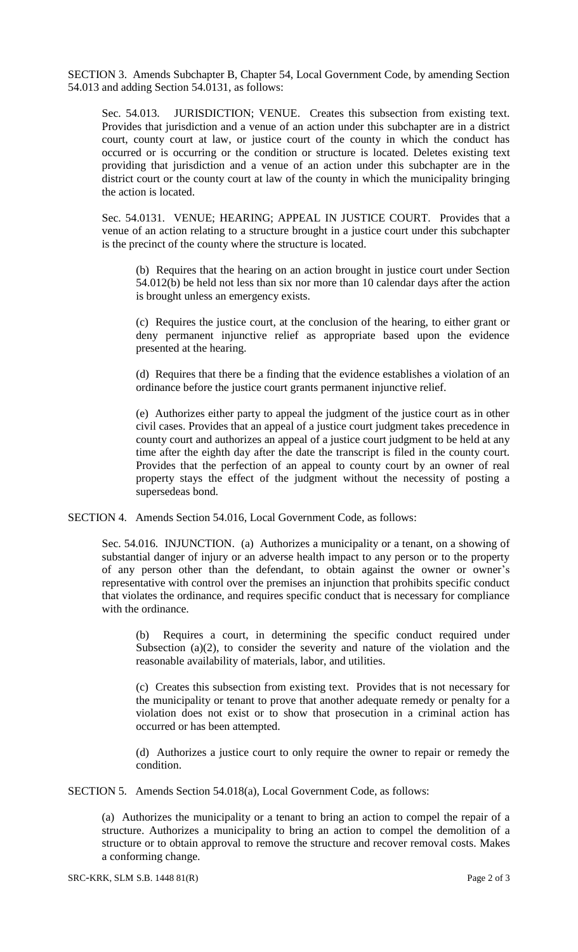SECTION 3. Amends Subchapter B, Chapter 54, Local Government Code, by amending Section 54.013 and adding Section 54.0131, as follows:

Sec. 54.013. JURISDICTION; VENUE. Creates this subsection from existing text. Provides that jurisdiction and a venue of an action under this subchapter are in a district court, county court at law, or justice court of the county in which the conduct has occurred or is occurring or the condition or structure is located. Deletes existing text providing that jurisdiction and a venue of an action under this subchapter are in the district court or the county court at law of the county in which the municipality bringing the action is located.

Sec. 54.0131. VENUE; HEARING; APPEAL IN JUSTICE COURT. Provides that a venue of an action relating to a structure brought in a justice court under this subchapter is the precinct of the county where the structure is located.

(b) Requires that the hearing on an action brought in justice court under Section 54.012(b) be held not less than six nor more than 10 calendar days after the action is brought unless an emergency exists.

(c) Requires the justice court, at the conclusion of the hearing, to either grant or deny permanent injunctive relief as appropriate based upon the evidence presented at the hearing.

(d) Requires that there be a finding that the evidence establishes a violation of an ordinance before the justice court grants permanent injunctive relief.

(e) Authorizes either party to appeal the judgment of the justice court as in other civil cases. Provides that an appeal of a justice court judgment takes precedence in county court and authorizes an appeal of a justice court judgment to be held at any time after the eighth day after the date the transcript is filed in the county court. Provides that the perfection of an appeal to county court by an owner of real property stays the effect of the judgment without the necessity of posting a supersedeas bond.

SECTION 4. Amends Section 54.016, Local Government Code, as follows:

Sec. 54.016. INJUNCTION. (a) Authorizes a municipality or a tenant, on a showing of substantial danger of injury or an adverse health impact to any person or to the property of any person other than the defendant, to obtain against the owner or owner's representative with control over the premises an injunction that prohibits specific conduct that violates the ordinance, and requires specific conduct that is necessary for compliance with the ordinance.

(b) Requires a court, in determining the specific conduct required under Subsection (a)(2), to consider the severity and nature of the violation and the reasonable availability of materials, labor, and utilities.

(c) Creates this subsection from existing text. Provides that is not necessary for the municipality or tenant to prove that another adequate remedy or penalty for a violation does not exist or to show that prosecution in a criminal action has occurred or has been attempted.

(d) Authorizes a justice court to only require the owner to repair or remedy the condition.

SECTION 5. Amends Section 54.018(a), Local Government Code, as follows:

(a) Authorizes the municipality or a tenant to bring an action to compel the repair of a structure. Authorizes a municipality to bring an action to compel the demolition of a structure or to obtain approval to remove the structure and recover removal costs. Makes a conforming change.